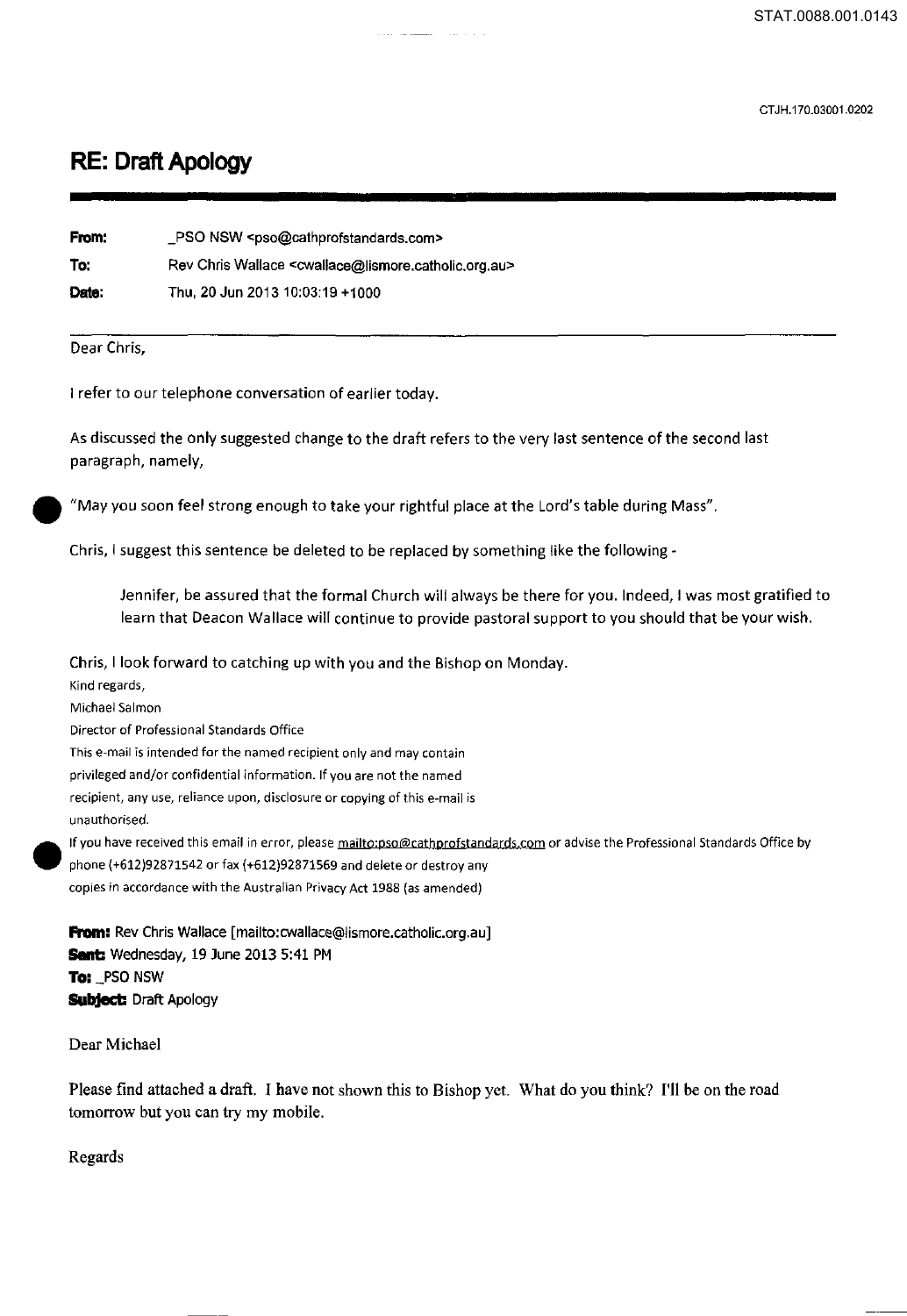CT JH.170.03001.0202

## **RE: Draft Apology**

| From: | PSO NSW <pso@cathprofstandards.com></pso@cathprofstandards.com>                         |
|-------|-----------------------------------------------------------------------------------------|
| To:   | Rev Chris Wallace <cwallace@lismore.catholic.org.au></cwallace@lismore.catholic.org.au> |
| Date: | Thu, 20 Jun 2013 10:03:19 +1000                                                         |

## Dear Chris,

I refer to our telephone conversation of earlier today.

As discussed the only suggested change to the draft refers to the very last sentence of the second last paragraph, namely,

"May you soon feel strong enough to take your rightful place at the Lord's table during Mass".

Chris, I suggest this sentence be deleted to be replaced by something like the following-

Jennifer, be assured that the formal Church will always be there for you. Indeed, I was most gratified to learn that Deacon Wallace will continue to provide pastoral support to you should that be your wish.

Chris, I look forward to catching up with you and the Bishop on Monday.

unau<br>
If you<br>
phon<br>
copie **Kind regards,**  Michael Salmon **Director of Professional Standards Office This e-mail is intended for the named recipient only and may contain privileged and/or confidential information. If you are not the named recipient, any use, reliance upon, disclosure or copying of this e-mail is unauthorised. If you have received this email in error, please mailto·pso@cathprofstandards.com or advise the Professional Standards Office by**  phone (+612)92871542 or fax (+612)92871569 and delete or destroy any

**copies in accordance with the Australian Privacy Act 1988** (as **amended)** 

**From:** Rev Chris Wallace [mailto:cwallace@lismore.catholic.org.au] **Sent:** Wednesday, 19 June 2013 5:41 PM **To:** \_PSO NSW **Subject:** Draft Apology

Dear Michael

Please find attached a draft. I have not shown this to Bishop yet. What do you think? I'll be on the road tomorrow but you can try my mobile.

Regards